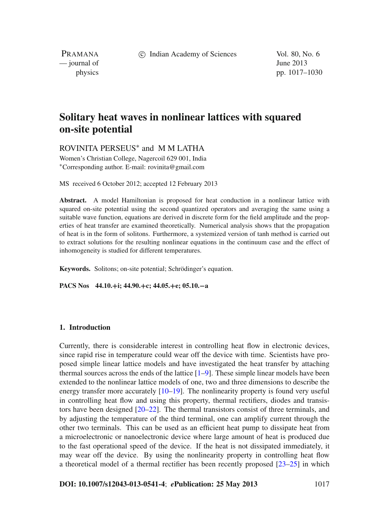c Indian Academy of Sciences Vol. 80, No. 6

PRAMANA — journal of June 2013

physics pp. 1017–1030

# **Solitary heat waves in nonlinear lattices with squared on-site potential**

ROVINITA PERSEUS<sup>∗</sup> and M M LATHA

Women's Christian College, Nagercoil 629 001, India <sup>∗</sup>Corresponding author. E-mail: rovinita@gmail.com

MS received 6 October 2012; accepted 12 February 2013

**Abstract.** A model Hamiltonian is proposed for heat conduction in a nonlinear lattice with squared on-site potential using the second quantized operators and averaging the same using a suitable wave function, equations are derived in discrete form for the field amplitude and the properties of heat transfer are examined theoretically. Numerical analysis shows that the propagation of heat is in the form of solitons. Furthermore, a systemized version of tanh method is carried out to extract solutions for the resulting nonlinear equations in the continuum case and the effect of inhomogeneity is studied for different temperatures.

**Keywords.** Solitons; on-site potential; Schrödinger's equation.

**PACS Nos 44.10.+i; 44.90.+c; 44.05.+e; 05.10.−a**

#### **1. Introduction**

Currently, there is considerable interest in controlling heat flow in electronic devices, since rapid rise in temperature could wear off the device with time. Scientists have proposed simple linear lattice models and have investigated the heat transfer by attaching thermal sources across the ends of the lattice  $[1-9]$  $[1-9]$ . These simple linear models have been extended to the nonlinear lattice models of one, two and three dimensions to describe the energy transfer more accurately  $[10-19]$  $[10-19]$ . The nonlinearity property is found very useful in controlling heat flow and using this property, thermal rectifiers, diodes and transistors have been designed  $[20-22]$  $[20-22]$ . The thermal transistors consist of three terminals, and by adjusting the temperature of the third terminal, one can amplify current through the other two terminals. This can be used as an efficient heat pump to dissipate heat from a microelectronic or nanoelectronic device where large amount of heat is produced due to the fast operational speed of the device. If the heat is not dissipated immediately, it may wear off the device. By using the nonlinearity property in controlling heat flow a theoretical model of a thermal rectifier has been recently proposed [\[23](#page-13-4)[–25](#page-13-5)] in which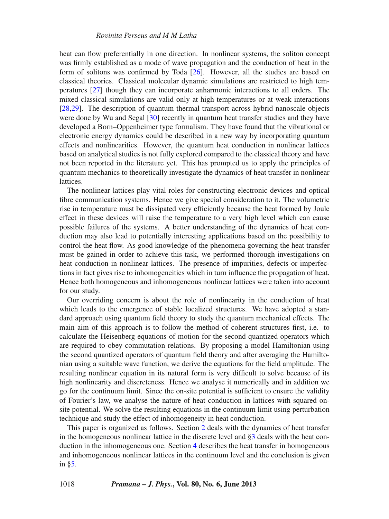heat can flow preferentially in one direction. In nonlinear systems, the soliton concept was firmly established as a mode of wave propagation and the conduction of heat in the form of solitons was confirmed by Toda [\[26\]](#page-13-6). However, all the studies are based on classical theories. Classical molecular dynamic simulations are restricted to high temperatures [\[27](#page-13-7)] though they can incorporate anharmonic interactions to all orders. The mixed classical simulations are valid only at high temperatures or at weak interactions [\[28](#page-13-8)[,29\]](#page-13-9). The description of quantum thermal transport across hybrid nanoscale objects were done by Wu and Segal [\[30\]](#page-13-10) recently in quantum heat transfer studies and they have developed a Born–Oppenheimer type formalism. They have found that the vibrational or electronic energy dynamics could be described in a new way by incorporating quantum effects and nonlinearities. However, the quantum heat conduction in nonlinear lattices based on analytical studies is not fully explored compared to the classical theory and have not been reported in the literature yet. This has prompted us to apply the principles of quantum mechanics to theoretically investigate the dynamics of heat transfer in nonlinear lattices.

The nonlinear lattices play vital roles for constructing electronic devices and optical fibre communication systems. Hence we give special consideration to it. The volumetric rise in temperature must be dissipated very efficiently because the heat formed by Joule effect in these devices will raise the temperature to a very high level which can cause possible failures of the systems. A better understanding of the dynamics of heat conduction may also lead to potentially interesting applications based on the possibility to control the heat flow. As good knowledge of the phenomena governing the heat transfer must be gained in order to achieve this task, we performed thorough investigations on heat conduction in nonlinear lattices. The presence of impurities, defects or imperfections in fact gives rise to inhomogeneities which in turn influence the propagation of heat. Hence both homogeneous and inhomogeneous nonlinear lattices were taken into account for our study.

Our overriding concern is about the role of nonlinearity in the conduction of heat which leads to the emergence of stable localized structures. We have adopted a standard approach using quantum field theory to study the quantum mechanical effects. The main aim of this approach is to follow the method of coherent structures first, i.e. to calculate the Heisenberg equations of motion for the second quantized operators which are required to obey commutation relations. By proposing a model Hamiltonian using the second quantized operators of quantum field theory and after averaging the Hamiltonian using a suitable wave function, we derive the equations for the field amplitude. The resulting nonlinear equation in its natural form is very difficult to solve because of its high nonlinearity and discreteness. Hence we analyse it numerically and in addition we go for the continuum limit. Since the on-site potential is sufficient to ensure the validity of Fourier's law, we analyse the nature of heat conduction in lattices with squared onsite potential. We solve the resulting equations in the continuum limit using perturbation technique and study the effect of inhomogeneity in heat conduction.

This paper is organized as follows. Section [2](#page-2-0) deals with the dynamics of heat transfer in the homogeneous nonlinear lattice in the discrete level and  $\S$ 3 deals with the heat conduction in the inhomogeneous one. Section [4](#page-5-0) describes the heat transfer in homogeneous and inhomogeneous nonlinear lattices in the continuum level and the conclusion is given in [§5.](#page-12-2)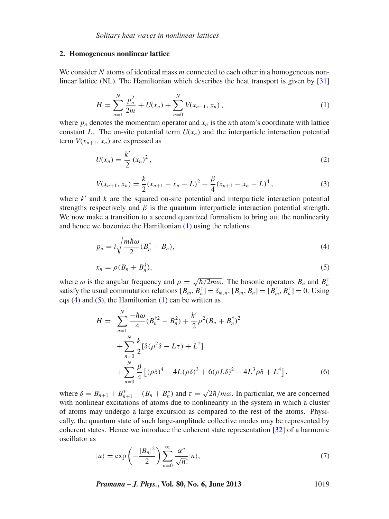#### <span id="page-2-0"></span>**2. Homogeneous nonlinear lattice**

<span id="page-2-1"></span>We consider *N* atoms of identical mass *m* connected to each other in a homogeneous nonlinear lattice (NL). The Hamiltonian which describes the heat transport is given by [\[31\]](#page-13-11)

$$
H = \sum_{n=1}^{N} \frac{p_n^2}{2m} + U(x_n) + \sum_{n=0}^{N} V(x_{n+1}, x_n), \qquad (1)
$$

where  $p_n$  denotes the momentum operator and  $x_n$  is the *n*th atom's coordinate with lattice constant *L*. The on-site potential term  $U(x_n)$  and the interparticle interaction potential term  $V(x_{n+1}, x_n)$  are expressed as

$$
U(x_n) = \frac{k'}{2} (x_n)^2,
$$
 (2)

$$
V(x_{n+1}, x_n) = \frac{k}{2}(x_{n+1} - x_n - L)^2 + \frac{\beta}{4}(x_{n+1} - x_n - L)^4,
$$
\n(3)

where  $k'$  and  $k$  are the squared on-site potential and interparticle interaction potential strengths respectively and  $\beta$  is the quantum interparticle interaction potential strength. We now make a transition to a second quantized formalism to bring out the nonlinearity and hence we bozonize the Hamiltonian [\(1\)](#page-2-1) using the relations

<span id="page-2-2"></span>
$$
p_n = i \sqrt{\frac{m \hbar \omega}{2}} (B_n^{\dagger} - B_n), \tag{4}
$$

$$
x_n = \rho (B_n + B_n^{\dagger}), \tag{5}
$$

<span id="page-2-3"></span>where  $\omega$  is the angular frequency and  $\rho = \sqrt{\hbar/2m\omega}$ . The bosonic operators  $B_n$  and  $B_n^{\dagger}$ satisfy the usual commutation relations  $[B_m, B_n^{\dagger}] = \delta_{m,n}$ ,  $[B_m, B_n] = [B_m^{\dagger}, B_n^{\dagger}] = 0$ . Using eqs  $(4)$  and  $(5)$ , the Hamiltonian  $(1)$  can be written as

<span id="page-2-5"></span>
$$
H = \sum_{n=1}^{N} \frac{-\hbar \omega}{4} (B_n^{\dagger 2} - B_n^2) + \frac{k'}{2} \rho^2 (B_n + B_n^{\dagger})^2
$$
  
+ 
$$
\sum_{n=0}^{N} \frac{k}{2} [\delta(\rho^2 \delta - L\tau) + L^2]
$$
  
+ 
$$
\sum_{n=0}^{N} \frac{\beta}{4} [(\rho \delta)^4 - 4L(\rho \delta)^3 + 6(\rho L \delta)^2 - 4L^3 \rho \delta + L^4],
$$
 (6)

where  $\delta = B_{n+1} + B_{n+1}^* - (B_n + B_n^*)$  and  $\tau = \sqrt{\frac{2\hbar}{m\omega}}$ . In particular, we are concerned with nonlinear excitations of atoms due to nonlinearity in the system in which a cluster of atoms may undergo a large excursion as compared to the rest of the atoms. Physically, the quantum state of such large-amplitude collective modes may be represented by coherent states. Hence we introduce the coherent state representation [\[32\]](#page-13-12) of a harmonic oscillator as

<span id="page-2-4"></span>
$$
|u\rangle = \exp\left(-\frac{|B_n|^2}{2}\right) \sum_{n=0}^{\infty} \frac{\alpha^n}{\sqrt{n}!} |n\rangle,\tag{7}
$$

*Pramana – J. Phys.***, Vol. 80, No. 6, June 2013** 1019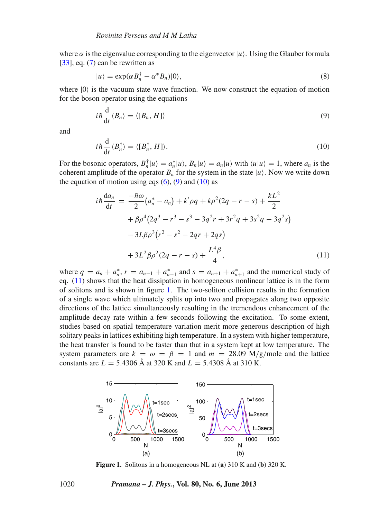where  $\alpha$  is the eigenvalue corresponding to the eigenvector  $|u\rangle$ . Using the Glauber formula [\[33](#page-13-13)], eq. [\(7\)](#page-2-4) can be rewritten as

$$
|u\rangle = \exp(\alpha B_n^{\dagger} - \alpha^* B_n)|0\rangle, \tag{8}
$$

where  $|0\rangle$  is the vacuum state wave function. We now construct the equation of motion for the boson operator using the equations

<span id="page-3-0"></span>
$$
i\hbar \frac{\mathrm{d}}{\mathrm{d}t} \langle B_n \rangle = \langle [B_n, H] \rangle \tag{9}
$$

<span id="page-3-1"></span>and

$$
i\hbar \frac{\mathrm{d}}{\mathrm{d}t} \langle B_n^{\dagger} \rangle = \langle [B_n^{\dagger}, H] \rangle. \tag{10}
$$

For the bosonic operators,  $B_n^{\dagger} |u\rangle = a_n^* |u\rangle$ ,  $B_n |u\rangle = a_n |u\rangle$  with  $\langle u | u \rangle = 1$ , where  $a_n$  is the coherent amplitude of the operator  $B_n$  for the system in the state  $|u\rangle$ . Now we write down the equation of motion using eqs  $(6)$ ,  $(9)$  and  $(10)$  as

<span id="page-3-2"></span>
$$
i\hbar \frac{da_n}{dt} = \frac{-\hbar \omega}{2} (a_n^* - a_n) + k'\rho q + k\rho^2 (2q - r - s) + \frac{kL^2}{2} + \beta \rho^4 (2q^3 - r^3 - s^3 - 3q^2r + 3r^2q + 3s^2q - 3q^2s) - 3L\beta \rho^3 (r^2 - s^2 - 2qr + 2qs) + 3L^2 \beta \rho^2 (2q - r - s) + \frac{L^4 \beta}{4},
$$
 (11)

where  $q = a_n + a_n^*$ ,  $r = a_{n-1} + a_{n-1}^*$  and  $s = a_{n+1} + a_{n+1}^*$  and the numerical study of eq. [\(11\)](#page-3-2) shows that the heat dissipation in homogeneous nonlinear lattice is in the form of solitons and is shown in figure [1.](#page-3-3) The two-soliton collision results in the formation of a single wave which ultimately splits up into two and propagates along two opposite directions of the lattice simultaneously resulting in the tremendous enhancement of the amplitude decay rate within a few seconds following the excitation. To some extent, studies based on spatial temperature variation merit more generous description of high solitary peaks in lattices exhibiting high temperature. In a system with higher temperature, the heat transfer is found to be faster than that in a system kept at low temperature. The system parameters are  $k = \omega = \beta = 1$  and  $m = 28.09$  M/g/mole and the lattice constants are  $L = 5.4306 \text{ Å}$  at 320 K and  $L = 5.4308 \text{ Å}$  at 310 K.

<span id="page-3-3"></span>

**Figure 1.** Solitons in a homogeneous NL at (**a**) 310 K and (**b**) 320 K.

1020 *Pramana – J. Phys.***, Vol. 80, No. 6, June 2013**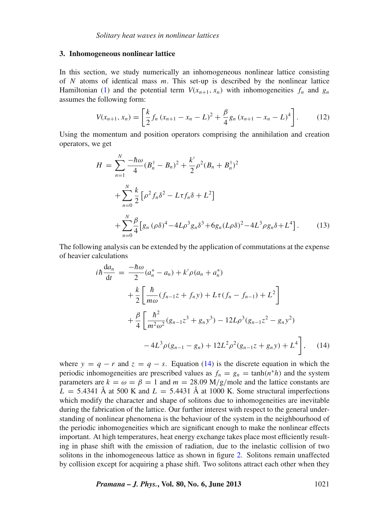#### <span id="page-4-0"></span>**3. Inhomogeneous nonlinear lattice**

In this section, we study numerically an inhomogeneous nonlinear lattice consisting of *N* atoms of identical mass *m*. This set-up is described by the nonlinear lattice Hamiltonian [\(1\)](#page-2-1) and the potential term  $V(x_{n+1}, x_n)$  with inhomogeneities  $f_n$  and  $g_n$ assumes the following form:

$$
V(x_{n+1}, x_n) = \left[\frac{k}{2}f_n(x_{n+1} - x_n - L)^2 + \frac{\beta}{4}g_n(x_{n+1} - x_n - L)^4\right].
$$
 (12)

Using the momentum and position operators comprising the annihilation and creation operators, we get

$$
H = \sum_{n=1}^{N} \frac{-\hbar \omega}{4} (B_n^{\dagger} - B_n)^2 + \frac{k'}{2} \rho^2 (B_n + B_n^{\dagger})^2
$$
  
+ 
$$
\sum_{n=0}^{N} \frac{k}{2} \left[ \rho^2 f_n \delta^2 - L \tau f_n \delta + L^2 \right]
$$
  
+ 
$$
\sum_{n=0}^{N} \frac{\beta}{4} \left[ g_n (\rho \delta)^4 - 4L \rho^3 g_n \delta^3 + 6g_n (L \rho \delta)^2 - 4L^3 \rho g_n \delta + L^4 \right].
$$
 (13)

The following analysis can be extended by the application of commutations at the expense of heavier calculations

<span id="page-4-1"></span>
$$
i\hbar \frac{da_n}{dt} = \frac{-\hbar \omega}{2} (a_n^* - a_n) + k' \rho (a_n + a_n^*)
$$
  
+  $\frac{k}{2} \left[ \frac{\hbar}{m \omega} (f_{n-1}z + f_n y) + L\tau (f_n - f_{n-1}) + L^2 \right]$   
+  $\frac{\beta}{4} \left[ \frac{\hbar^2}{m^2 \omega^2} (g_{n-1}z^3 + g_n y^3) - 12L\rho^3 (g_{n-1}z^2 - g_n y^2) -4L^3 \rho (g_{n-1} - g_n) + 12L^2 \rho^2 (g_{n-1}z + g_n y) + L^4 \right],$  (14)

where  $y = q - r$  and  $z = q - s$ . Equation [\(14\)](#page-4-1) is the discrete equation in which the periodic inhomogeneities are prescribed values as  $f_n = g_n = \tanh(n^*h)$  and the system parameters are  $k = \omega = \beta = 1$  and  $m = 28.09$  M/g/mole and the lattice constants are  $L = 5.4341$  Å at 500 K and  $L = 5.4431$  Å at 1000 K. Some structural imperfections which modify the character and shape of solitons due to inhomogeneities are inevitable during the fabrication of the lattice. Our further interest with respect to the general understanding of nonlinear phenomena is the behaviour of the system in the neighbourhood of the periodic inhomogeneities which are significant enough to make the nonlinear effects important. At high temperatures, heat energy exchange takes place most efficiently resulting in phase shift with the emission of radiation, due to the inelastic collision of two solitons in the inhomogeneous lattice as shown in figure [2.](#page-5-1) Solitons remain unaffected by collision except for acquiring a phase shift. Two solitons attract each other when they

*Pramana – J. Phys.***, Vol. 80, No. 6, June 2013** 1021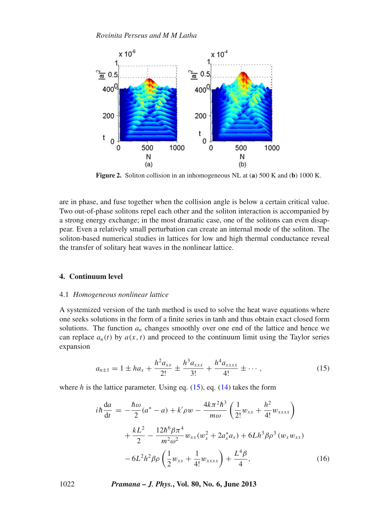<span id="page-5-1"></span>

**Figure 2.** Soliton collision in an inhomogeneous NL at (**a**) 500 K and (**b**) 1000 K.

are in phase, and fuse together when the collision angle is below a certain critical value. Two out-of-phase solitons repel each other and the soliton interaction is accompanied by a strong energy exchange; in the most dramatic case, one of the solitons can even disappear. Even a relatively small perturbation can create an internal mode of the soliton. The soliton-based numerical studies in lattices for low and high thermal conductance reveal the transfer of solitary heat waves in the nonlinear lattice.

#### <span id="page-5-0"></span>**4. Continuum level**

#### 4.1 *Homogeneous nonlinear lattice*

A systemized version of the tanh method is used to solve the heat wave equations where one seeks solutions in the form of a finite series in tanh and thus obtain exact closed form solutions. The function *an* changes smoothly over one end of the lattice and hence we can replace  $a_n(t)$  by  $a(x, t)$  and proceed to the continuum limit using the Taylor series expansion

<span id="page-5-2"></span>
$$
a_{n\pm 1} = 1 \pm h a_x + \frac{h^2 a_{xx}}{2!} \pm \frac{h^3 a_{xxx}}{3!} + \frac{h^4 a_{xxxx}}{4!} \pm \cdots,
$$
 (15)

where  $h$  is the lattice parameter. Using eq.  $(15)$ , eq.  $(14)$  takes the form

<span id="page-5-3"></span>
$$
i\hbar \frac{da}{dt} = -\frac{\hbar \omega}{2} (a^* - a) + k' \rho w - \frac{4k\pi^2 \hbar^3}{m\omega} \left( \frac{1}{2!} w_{xx} + \frac{h^2}{4!} w_{xxxx} \right)
$$

$$
+ \frac{kL^2}{2} - \frac{12\hbar^6 \beta \pi^4}{m^2 \omega^2} w_{xx} (w_x^2 + 2a_x^* a_x) + 6Lh^3 \beta \rho^3 (w_x w_{xx})
$$

$$
-6L^2 h^2 \beta \rho \left( \frac{1}{2} w_{xx} + \frac{1}{4!} w_{xxxx} \right) + \frac{L^4 \beta}{4}, \qquad (16)
$$

1022 *Pramana – J. Phys.***, Vol. 80, No. 6, June 2013**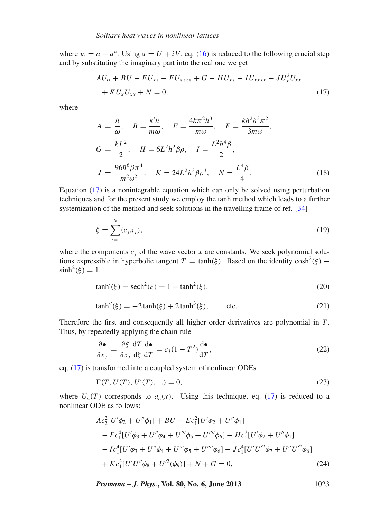where  $w = a + a^*$ . Using  $a = U + iV$ , eq. [\(16\)](#page-5-3) is reduced to the following crucial step and by substituting the imaginary part into the real one we get

<span id="page-6-0"></span>
$$
AU_{tt} + BU - EU_{xx} - FU_{xxxx} + G - HU_{xx} - IU_{xxxx} - JU_x^2U_{xx}
$$
  
+  $KU_xU_{xx} + N = 0,$  (17)

where

$$
A = \frac{\hbar}{\omega}, \quad B = \frac{k'h}{m\omega}, \quad E = \frac{4k\pi^2\hbar^3}{m\omega}, \quad F = \frac{kh^2\hbar^3\pi^2}{3m\omega},
$$
  
\n
$$
G = \frac{kL^2}{2}, \quad H = 6L^2h^2\beta\rho, \quad I = \frac{L^2h^4\beta}{2},
$$
  
\n
$$
J = \frac{96\hbar^6\beta\pi^4}{m^2\omega^2}, \quad K = 24L^2h^3\beta\rho^3, \quad N = \frac{L^4\beta}{4}.
$$
 (18)

Equation [\(17\)](#page-6-0) is a nonintegrable equation which can only be solved using perturbation techniques and for the present study we employ the tanh method which leads to a further systemization of the method and seek solutions in the travelling frame of ref. [\[34](#page-13-14)]

$$
\xi = \sum_{j=1}^{N} (c_j x_j),\tag{19}
$$

where the components  $c_j$  of the wave vector  $x$  are constants. We seek polynomial solutions expressible in hyperbolic tangent  $T = \tanh(\xi)$ . Based on the identity  $\cosh^2(\xi)$  –  $\sinh^2(\xi) = 1$ ,

$$
\tanh'(\xi) = \mathrm{sech}^2(\xi) = 1 - \tanh^2(\xi),\tag{20}
$$

$$
\tanh''(\xi) = -2 \tanh(\xi) + 2 \tanh^3(\xi), \quad \text{etc.} \tag{21}
$$

Therefore the first and consequently all higher order derivatives are polynomial in *T* . Thus, by repeatedly applying the chain rule

$$
\frac{\partial \bullet}{\partial x_j} = \frac{\partial \xi}{\partial x_j} \frac{dT}{d\xi} \frac{d\bullet}{dT} = c_j (1 - T^2) \frac{d\bullet}{dT},\tag{22}
$$

eq. [\(17\)](#page-6-0) is transformed into a coupled system of nonlinear ODEs

$$
\Gamma(T, U(T), U'(T), \ldots) = 0,\t(23)
$$

where  $U_n(T)$  corresponds to  $a_n(x)$ . Using this technique, eq. [\(17\)](#page-6-0) is reduced to a nonlinear ODE as follows:

$$
Ac_2^2[U'\phi_2 + U''\phi_1] + BU - Ec_1^2[U'\phi_2 + U''\phi_1]
$$
  
\n
$$
-Fc_1^4[U'\phi_3 + U''\phi_4 + U''' \phi_5 + U''''\phi_6] - Ac_1^2[U'\phi_2 + U''\phi_1]
$$
  
\n
$$
-lc_1^4[U'\phi_3 + U''\phi_4 + U'''\phi_5 + U''''\phi_6] - Jc_1^4[U'U'^2\phi_7 + U''U'^2\phi_6]
$$
  
\n
$$
+ Kc_1^3[U'U''\phi_8 + U'^2(\phi_9)] + N + G = 0,
$$
\n(24)

*Pramana – J. Phys.***, Vol. 80, No. 6, June 2013** 1023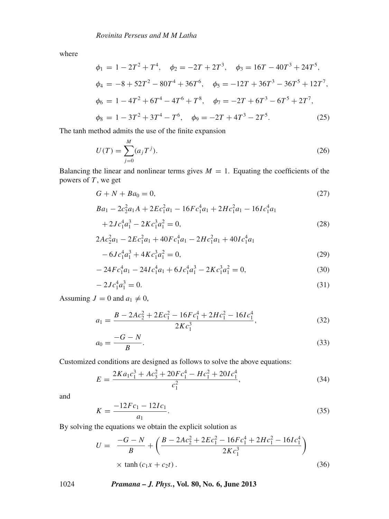where

$$
\phi_1 = 1 - 2T^2 + T^4, \quad \phi_2 = -2T + 2T^3, \quad \phi_3 = 16T - 40T^3 + 24T^5,
$$
  
\n
$$
\phi_4 = -8 + 52T^2 - 80T^4 + 36T^6, \quad \phi_5 = -12T + 36T^3 - 36T^5 + 12T^7,
$$
  
\n
$$
\phi_6 = 1 - 4T^2 + 6T^4 - 4T^6 + T^8, \quad \phi_7 = -2T + 6T^3 - 6T^5 + 2T^7,
$$
  
\n
$$
\phi_8 = 1 - 3T^2 + 3T^4 - T^6, \quad \phi_9 = -2T + 4T^3 - 2T^5.
$$
\n(25)

The tanh method admits the use of the finite expansion

$$
U(T) = \sum_{j=0}^{M} (a_j T^j).
$$
 (26)

Balancing the linear and nonlinear terms gives  $M = 1$ . Equating the coefficients of the powers of  $T$ , we get

$$
G + N + Ba_0 = 0,\t(27)
$$

$$
Ba_1 - 2c_2^2 a_1 A + 2Ec_1^2 a_1 - 16Fc_1^4 a_1 + 2Hc_1^2 a_1 - 16Ic_1^4 a_1
$$
  
+2Jc\_1^4 a\_1^3 - 2Kc\_1^3 a\_1^2 = 0, (28)

$$
2Ac_2^2a_1 - 2Ec_1^2a_1 + 40Fc_1^4a_1 - 2Hc_1^2a_1 + 40Ic_1^4a_1
$$
  
-6Jc<sub>1</sub><sup>4</sup>a<sub>1</sub><sup>3</sup> + 4Kc<sub>1</sub><sup>3</sup>a<sub>1</sub><sup>2</sup> = 0, (29)

$$
-24Fc_1^4a_1 - 24Ic_1^4a_1 + 6Jc_1^4a_1^3 - 2Kc_1^3a_1^2 = 0,
$$
\n(30)

$$
-2Jc_1^4a_1^3 = 0.\t(31)
$$

Assuming  $J = 0$  and  $a_1 \neq 0$ ,

$$
a_1 = \frac{B - 2Ac_2^2 + 2Ec_1^2 - 16Fc_1^4 + 2Hc_1^2 - 16Ic_1^4}{2Kc_1^3},
$$
\n(32)

$$
a_0 = \frac{-G - N}{B}.\tag{33}
$$

Customized conditions are designed as follows to solve the above equations:

$$
E = \frac{2Ka_1c_1^3 + Ac_3^2 + 20Fc_1^4 - Hc_1^2 + 20Ic_1^4}{c_1^2},
$$
\n(34)

and

$$
K = \frac{-12Fc_1 - 12Ic_1}{a_1}.\tag{35}
$$

By solving the equations we obtain the explicit solution as

<span id="page-7-0"></span>
$$
U = \frac{-G - N}{B} + \left(\frac{B - 2Ac_2^2 + 2Ec_1^2 - 16Fc_1^4 + 2Hc_1^2 - 16Ic_1^4}{2Kc_1^3}\right)
$$
  
× tanh (c<sub>1</sub>x + c<sub>2</sub>t). (36)

Pramana - J. Phys., Vol. 80, No. 6, June 2013 1024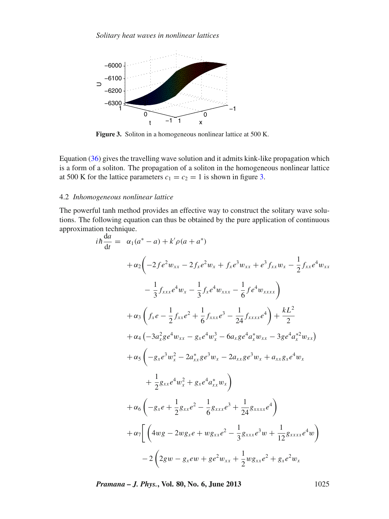<span id="page-8-0"></span>

Figure 3. Soliton in a homogeneous nonlinear lattice at 500 K.

Equation  $(36)$  gives the travelling wave solution and it admits kink-like propagation which is a form of a soliton. The propagation of a soliton in the homogeneous nonlinear lattice at 500 K for the lattice parameters  $c_1 = c_2 = 1$  is shown in figure 3.

# 4.2 Inhomogeneous nonlinear lattice

The powerful tanh method provides an effective way to construct the solitary wave solutions. The following equation can thus be obtained by the pure application of continuous approximation technique.

<span id="page-8-1"></span>
$$
i\hbar \frac{da}{dt} = \alpha_1(a^* - a) + k'\rho(a + a^*)
$$
  
+  $\alpha_2\left(-2fe^2w_{xx} - 2f_xe^2w_x + f_xe^3w_{xx} + e^3f_{xx}w_x - \frac{1}{2}f_{xx}e^4w_{xx}\right)$   
-  $\frac{1}{3}f_{xxx}e^4w_x - \frac{1}{3}f_xe^4w_{xxx} - \frac{1}{6}fe^4w_{xxxx}\right)$   
+  $\alpha_3\left(f_xe - \frac{1}{2}f_{xx}e^2 + \frac{1}{6}f_{xxx}e^3 - \frac{1}{24}f_{xxxx}e^4\right) + \frac{kL^2}{2}$   
+  $\alpha_4\left(-3a_x^2ge^4w_{xx} - s_xe^4w_x^3 - 6a_xge^4a_x^*w_{xx} - 3ge^4a_x^*w_{xx}\right)$   
+  $\alpha_5\left(-g_xe^3w_x^2 - 2a_{xx}^*ge^3w_x - 2a_{xx}ge^3w_x + a_{xx}g_xe^4w_x\right)$   
+  $\frac{1}{2}g_{xx}e^4w_x^2 + g_xe^4a_{xx}^*w_x\right)$   
+  $\alpha_6\left(-g_xe + \frac{1}{2}g_{xx}e^2 - \frac{1}{6}g_{xxx}e^3 + \frac{1}{24}g_{xxxx}e^4\right)$   
+  $\alpha_7\left[\left(4wg - 2wg_xe + wg_{xx}e^2 - \frac{1}{3}g_{xxx}e^3w + \frac{1}{12}g_{xxxx}e^4w\right)\right]$   
-  $2\left(2gw - g_xew + ge^2w_{xx} + \frac{1}{2}wg_{xx}e^2 + g_xe^2w_x\right)$ 

Pramana - J. Phys., Vol. 80, No. 6, June 2013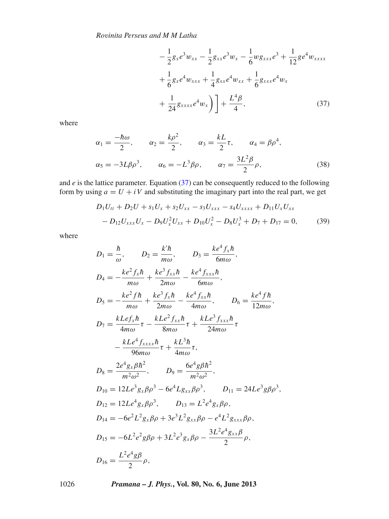$$
-\frac{1}{2}g_{x}e^{3}w_{xx} - \frac{1}{2}g_{xx}e^{3}w_{x} - \frac{1}{6}w_{g_{xxx}}e^{3} + \frac{1}{12}ge^{4}w_{xxxx}
$$
  
+  $\frac{1}{6}g_{x}e^{4}w_{xxx} + \frac{1}{4}g_{xx}e^{4}w_{xx} + \frac{1}{6}g_{xxx}e^{4}w_{x}$   
+  $\frac{1}{24}g_{xxxx}e^{4}w_{x}$   $\Big) + \frac{L^{4}\beta}{4}$ , (37)

where

$$
\alpha_1 = \frac{-\hbar\omega}{2}, \qquad \alpha_2 = \frac{k\rho^2}{2}, \qquad \alpha_3 = \frac{kL}{2}\tau, \qquad \alpha_4 = \beta\rho^4,
$$
  

$$
\alpha_5 = -3L\beta\rho^3, \qquad \alpha_6 = -L^3\beta\rho, \qquad \alpha_7 = \frac{3L^2\beta}{2}\rho, \qquad (38)
$$

and  $e$  is the lattice parameter. Equation (37) can be consequently reduced to the following form by using  $a = U + iV$  and substituting the imaginary part into the real part, we get

<span id="page-9-0"></span>
$$
D_1U_{tt} + D_2U + s_1U_x + s_2U_{xx} - s_3U_{xxx} - s_4U_{xxxx} + D_{11}U_xU_{xx}
$$
  
- 
$$
D_{12}U_{xxx}U_x - D_9U_x^2U_{xx} + D_{10}U_x^2 - D_8U_x^3 + D_7 + D_{17} = 0,
$$
 (39)

where

$$
D_1 = \frac{h}{\omega}, \qquad D_2 = \frac{k'h}{m\omega}, \qquad D_3 = \frac{ke^4 f_x h}{6m\omega},
$$
  
\n
$$
D_4 = -\frac{ke^2 f_x h}{m\omega} + \frac{ke^3 f_{xx} h}{2m\omega} - \frac{ke^4 f_{xxx} h}{6m\omega},
$$
  
\n
$$
D_5 = -\frac{ke^2 f h}{m\omega} + \frac{ke^3 f_x h}{2m\omega} - \frac{ke^4 f_{xx} h}{4m\omega}, \qquad D_6 = \frac{ke^4 f h}{12m\omega},
$$
  
\n
$$
D_7 = \frac{kLe f_x h}{4m\omega} \tau - \frac{kLe^2 f_{xx} h}{8m\omega} \tau + \frac{kLe^3 f_{xxx} h}{24m\omega} \tau
$$
  
\n
$$
-\frac{kLe^4 f_{xxxx} h}{96m\omega} \tau + \frac{kL^3 h}{4m\omega} \tau,
$$
  
\n
$$
D_8 = \frac{2e^4 g_x \beta h^2}{m^2 \omega^2}, \qquad D_9 = \frac{6e^4 g \beta h^2}{m^2 \omega^2},
$$
  
\n
$$
D_{10} = 12Le^3 g_x \beta \rho^3 - 6e^4 L g_{xx} \beta \rho^3, \qquad D_{11} = 24Le^3 g \beta \rho^3,
$$
  
\n
$$
D_{12} = 12Le^4 g_x \beta \rho^3, \qquad D_{13} = L^2 e^4 g_x \beta \rho,
$$
  
\n
$$
D_{14} = -6e^2 L^2 g_x \beta \rho + 3e^3 L^2 g_{xx} \beta \rho - e^4 L^2 g_{xxx} \beta \rho,
$$
  
\n
$$
D_{15} = -6L^2 e^2 g \beta \rho + 3L^2 e^3 g_x \beta \rho - \frac{3L^2 e^4 g_{xx} \beta}{2} \rho,
$$
  
\n
$$
D_{16} = \frac{L^2 e^4 g \beta}{2} \rho,
$$

Pramana - J. Phys., Vol. 80, No. 6, June 2013

1026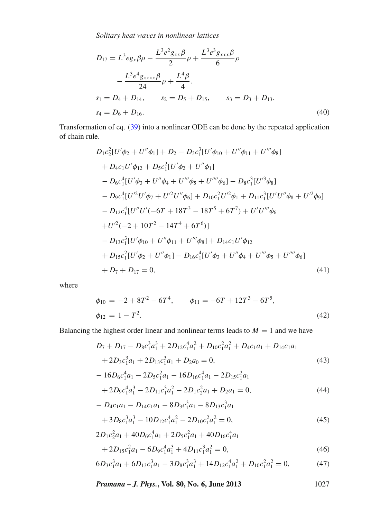*Solitary heat wa*v*es in nonlinear lattices*

$$
D_{17} = L^3 e_{Sx} \beta \rho - \frac{L^3 e^2 g_{xx} \beta}{2} \rho + \frac{L^3 e^3 g_{xxx} \beta}{6} \rho
$$
  

$$
- \frac{L^3 e^4 g_{xxxx} \beta}{24} \rho + \frac{L^4 \beta}{4}.
$$
  

$$
s_1 = D_4 + D_{14}, \qquad s_2 = D_5 + D_{15}, \qquad s_3 = D_3 + D_{13},
$$
  

$$
s_4 = D_6 + D_{16}.
$$
 (40)

Transformation of eq. [\(39\)](#page-9-0) into a nonlinear ODE can be done by the repeated application of chain rule.

$$
D_1c_2^2[U'\phi_2 + U''\phi_1] + D_2 - D_3c_1^3[U'\phi_{10} + U''\phi_{11} + U''' \phi_8]
$$
  
+ 
$$
D_4c_1U'\phi_{12} + D_5c_1^2[U'\phi_2 + U''\phi_1]
$$
  
- 
$$
D_6c_1^4[U'\phi_3 + U''\phi_4 + U''' \phi_5 + U''''\phi_6] - D_8c_1^3[U'^3\phi_8]
$$
  
- 
$$
D_9c_1^4[U'^2U'\phi_7 + U'^2U''\phi_6] + D_{10}c_1^2U'^2\phi_1 + D_{11}c_1^3[U'U''\phi_8 + U'^2\phi_9]
$$
  
- 
$$
D_{12}c_1^4[U''U'(-6T + 18T^3 - 18T^5 + 6T^7) + U'U''' \phi_6
$$
  
+ 
$$
U'^2(-2 + 10T^2 - 14T^4 + 6T^6)]
$$
  
- 
$$
D_{13}c_1^3[U'\phi_{10} + U''\phi_{11} + U''' \phi_8] + D_{14}c_1U'\phi_{12}
$$
  
+ 
$$
D_{15}c_1^2[U'\phi_2 + U''\phi_1] - D_{16}c_1^4[U'\phi_3 + U''\phi_4 + U''' \phi_5 + U'''' \phi_6]
$$
  
+ 
$$
D_7 + D_{17} = 0,
$$
 (41)

where

$$
\phi_{10} = -2 + 8T^2 - 6T^4, \qquad \phi_{11} = -6T + 12T^3 - 6T^5,
$$
  

$$
\phi_{12} = 1 - T^2.
$$
 (42)

Balancing the highest order linear and nonlinear terms leads to  $M = 1$  and we have

<span id="page-10-0"></span>
$$
D_7 + D_{17} - D_8 c_1^3 a_1^3 + 2 D_{12} c_1^4 a_1^2 + D_{10} c_1^2 a_1^2 + D_4 c_1 a_1 + D_{14} c_1 a_1
$$
  
+ 2 D\_3 c\_1^3 a\_1 + 2 D\_{13} c\_1^3 a\_1 + D\_2 a\_0 = 0, (43)

$$
- 16D_6c_1^4a_1 - 2D_5c_1^2a_1 - 16D_{16}c_1^4a_1 - 2D_{15}c_1^2a_1
$$
  
+ 2D\_9c\_1^4a\_1^3 - 2D\_{11}c\_1^3a\_1^2 - 2D\_1c\_2^2a\_1 + D\_2a\_1 = 0, \t(44)

$$
-D_4c_1a_1 - D_{14}c_1a_1 - 8D_3c_1^3a_1 - 8D_{13}c_1^3a_1
$$
  
+3D\_8c\_1^3a\_1^3 - 10D\_{12}c\_1^4a\_1^2 - 2D\_{10}c\_1^2a\_1^2 = 0, (45)

$$
2D_1c_2^2a_1 + 40D_6c_1^4a_1 + 2D_5c_1^2a_1 + 40D_{16}c_1^4a_1
$$
  
+2D\_{15}c\_1^2a\_1 - 6D\_9c\_1^4a\_1^3 + 4D\_{11}c\_1^3a\_1^2 = 0, (46)

$$
6D_3c_1^3a_1 + 6D_{13}c_1^3a_1 - 3D_8c_1^3a_1^3 + 14D_{12}c_1^4a_1^2 + D_{10}c_1^2a_1^2 = 0,\tag{47}
$$

*Pramana – J. Phys.*, Vol. 80, No. 6, June 2013 
$$
1027
$$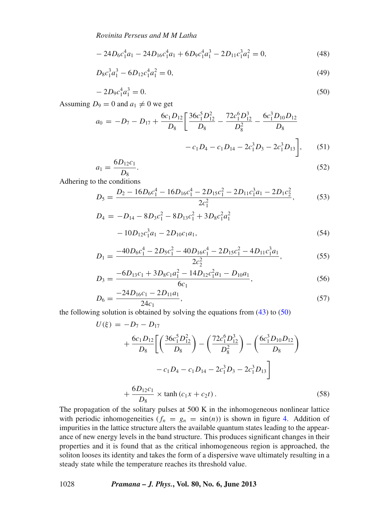$$
-24D_6c_1^4a_1 - 24D_{16}c_1^4a_1 + 6D_9c_1^4a_1^3 - 2D_{11}c_1^3a_1^2 = 0,
$$
\n(48)

$$
D_8 c_1^3 a_1^3 - 6D_{12} c_1^4 a_1^2 = 0,
$$
\n(49)

$$
-2D_9c_1^4a_1^3 = 0.\t\t(50)
$$

Assuming  $D_9 = 0$  and  $a_1 \neq 0$  we get

$$
a_0 = -D_7 - D_{17} + \frac{6c_1D_{12}}{D_8} \left[ \frac{36c_1^5D_{12}^2}{D_8} - \frac{72c_1^6D_{12}^3}{D_8^2} - \frac{6c_1^3D_{10}D_{12}}{D_8} - c_1D_4 - c_1D_{14} - 2c_1^3D_3 - 2c_1^3D_{13} \right],
$$
 (51)

$$
a_1 = \frac{6D_{12}c_1}{D_8}.\tag{52}
$$

Adhering to the conditions

$$
D_5 = \frac{D_2 - 16D_6c_1^4 - 16D_{16}c_1^4 - 2D_{15}c_1^2 - 2D_{11}c_1^3a_1 - 2D_1c_2^2}{2c_1^2},
$$
(53)

$$
D_4 = -D_{14} - 8D_3c_1^2 - 8D_{13}c_1^2 + 3D_8c_1^2a_1^2
$$
  
- 10D<sub>12</sub>c<sub>1</sub><sup>3</sup>a<sub>1</sub> - 2D<sub>10</sub>c<sub>1</sub>a<sub>1</sub>, (54)

$$
D_1 = \frac{-40D_6c_1^4 - 2D_5c_1^2 - 40D_{16}c_1^4 - 2D_{15}c_1^2 - 4D_{11}c_1^3a_1}{2c_2^2},
$$
\n
$$
(55)
$$

$$
D_3 = \frac{-6D_{13}c_1 + 3D_8c_1a_1^2 - 14D_{12}c_1^2a_1 - D_{10}a_1}{6c_1},
$$
\n(56)

$$
D_6 = \frac{-24D_{16}c_1 - 2D_{11}a_1}{24c_1},\tag{57}
$$

the following solution is obtained by solving the equations from  $(43)$  to  $(50)$ 

$$
U(\xi) = -D_7 - D_{17}
$$
  
+  $\frac{6c_1D_{12}}{D_8} \left[ \left( \frac{36c_1^5D_{12}^2}{D_8} \right) - \left( \frac{72c_1^6D_{12}^3}{D_8^2} \right) - \left( \frac{6c_1^3D_{10}D_{12}}{D_8} \right) \right]$   
-  $c_1D_4 - c_1D_{14} - 2c_1^3D_3 - 2c_1^3D_{13} \left]$   
+  $\frac{6D_{12}c_1}{D_8} \times \tanh(c_1x + c_2t)$ . (58)

The propagation of the solitary pulses at 500 K in the inhomogeneous nonlinear lattice with periodic inhomogeneities  $(f_n = g_n = \sin(n))$  is shown in figure 4. Addition of impurities in the lattice structure alters the available quantum states leading to the appearance of new energy levels in the band structure. This produces significant changes in their properties and it is found that as the critical inhomogeneous region is approached, the soliton looses its identity and takes the form of a dispersive wave ultimately resulting in a steady state while the temperature reaches its threshold value.

1028 Pramana - J. Phys., Vol. 80, No. 6, June 2013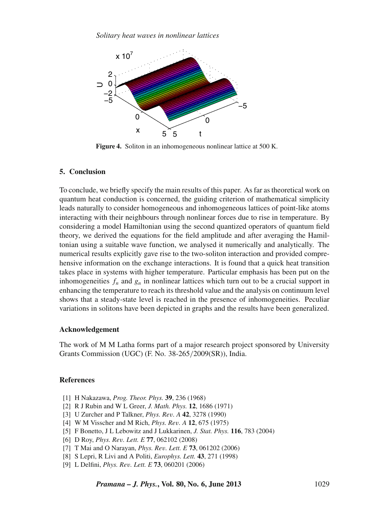<span id="page-12-3"></span>

**Figure 4.** Soliton in an inhomogeneous nonlinear lattice at 500 K.

## <span id="page-12-2"></span>**5. Conclusion**

To conclude, we briefly specify the main results of this paper. As far as theoretical work on quantum heat conduction is concerned, the guiding criterion of mathematical simplicity leads naturally to consider homogeneous and inhomogeneous lattices of point-like atoms interacting with their neighbours through nonlinear forces due to rise in temperature. By considering a model Hamiltonian using the second quantized operators of quantum field theory, we derived the equations for the field amplitude and after averaging the Hamiltonian using a suitable wave function, we analysed it numerically and analytically. The numerical results explicitly gave rise to the two-soliton interaction and provided comprehensive information on the exchange interactions. It is found that a quick heat transition takes place in systems with higher temperature. Particular emphasis has been put on the inhomogeneities  $f_n$  and  $g_n$  in nonlinear lattices which turn out to be a crucial support in enhancing the temperature to reach its threshold value and the analysis on continuum level shows that a steady-state level is reached in the presence of inhomogeneities. Peculiar variations in solitons have been depicted in graphs and the results have been generalized.

## **Acknowledgement**

The work of M M Latha forms part of a major research project sponsored by University Grants Commission (UGC) (F. No. 38-265/2009(SR)), India.

## **References**

- <span id="page-12-0"></span>[1] H Nakazawa, *Prog. Theor. Phys.* **39**, 236 (1968)
- [2] R J Rubin and W L Greer, *J. Math. Phys.* **12**, 1686 (1971)
- [3] U Zurcher and P Talkner, *Phys. Re*v*. A* **42**, 3278 (1990)
- [4] W M Visscher and M Rich, *Phys. Re*v*. A* **12**, 675 (1975)
- [5] F Bonetto, J L Lebowitz and J Lukkarinen, *J. Stat. Phys.* **116**, 783 (2004)
- [6] D Roy, *Phys. Re*v*. Lett. E* **77**, 062102 (2008)
- [7] T Mai and O Narayan, *Phys. Re*v*. Lett. E* **73**, 061202 (2006)
- [8] S Lepri, R Livi and A Politi, *Europhys. Lett.* **43**, 271 (1998)
- <span id="page-12-1"></span>[9] L Delfini, *Phys. Re*v*. Lett. E* **73**, 060201 (2006)

*Pramana – J. Phys.***, Vol. 80, No. 6, June 2013** 1029